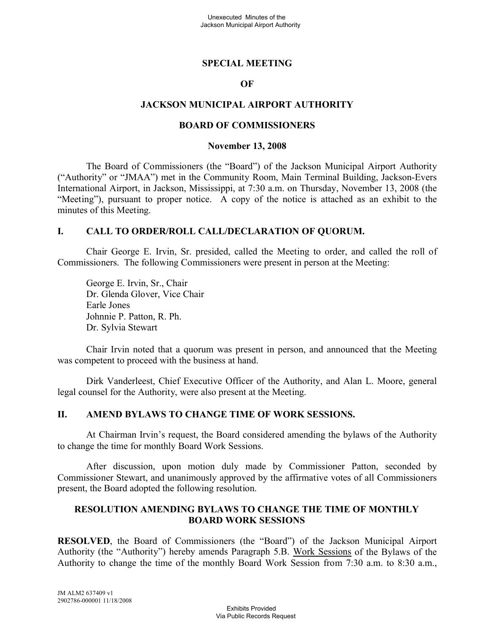#### **SPECIAL MEETING**

#### **OF**

#### **JACKSON MUNICIPAL AIRPORT AUTHORITY**

#### **BOARD OF COMMISSIONERS**

#### **November 13, 2008**

The Board of Commissioners (the "Board") of the Jackson Municipal Airport Authority ("Authority" or "JMAA") met in the Community Room, Main Terminal Building, Jackson-Evers International Airport, in Jackson, Mississippi, at 7:30 a.m. on Thursday, November 13, 2008 (the "Meeting"), pursuant to proper notice. A copy of the notice is attached as an exhibit to the minutes of this Meeting.

#### **I. CALL TO ORDER/ROLL CALL/DECLARATION OF QUORUM.**

Chair George E. Irvin, Sr. presided, called the Meeting to order, and called the roll of Commissioners. The following Commissioners were present in person at the Meeting:

George E. Irvin, Sr., Chair Dr. Glenda Glover, Vice Chair Earle Jones Johnnie P. Patton, R. Ph. Dr. Sylvia Stewart

Chair Irvin noted that a quorum was present in person, and announced that the Meeting was competent to proceed with the business at hand.

Dirk Vanderleest, Chief Executive Officer of the Authority, and Alan L. Moore, general legal counsel for the Authority, were also present at the Meeting.

#### **II. AMEND BYLAWS TO CHANGE TIME OF WORK SESSIONS.**

At Chairman Irvin's request, the Board considered amending the bylaws of the Authority to change the time for monthly Board Work Sessions.

After discussion, upon motion duly made by Commissioner Patton, seconded by Commissioner Stewart, and unanimously approved by the affirmative votes of all Commissioners present, the Board adopted the following resolution.

#### **RESOLUTION AMENDING BYLAWS TO CHANGE THE TIME OF MONTHLY BOARD WORK SESSIONS**

**RESOLVED**, the Board of Commissioners (the "Board") of the Jackson Municipal Airport Authority (the "Authority") hereby amends Paragraph 5.B. Work Sessions of the Bylaws of the Authority to change the time of the monthly Board Work Session from 7:30 a.m. to 8:30 a.m.,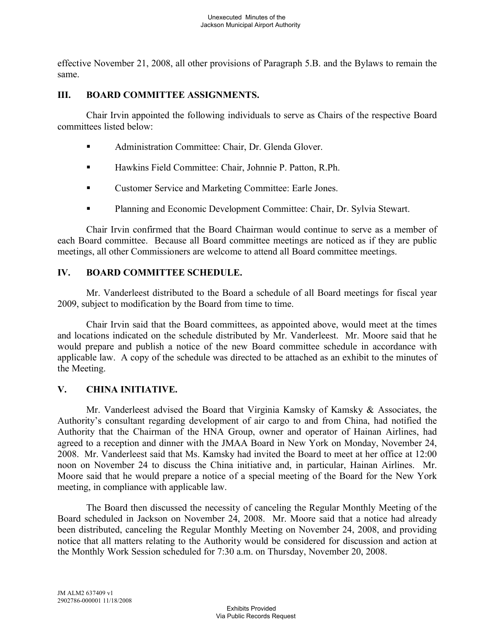effective November 21, 2008, all other provisions of Paragraph 5.B. and the Bylaws to remain the same.

#### **III. BOARD COMMITTEE ASSIGNMENTS.**

Chair Irvin appointed the following individuals to serve as Chairs of the respective Board committees listed below:

- Administration Committee: Chair, Dr. Glenda Glover.
- Hawkins Field Committee: Chair, Johnnie P. Patton, R.Ph.
- Customer Service and Marketing Committee: Earle Jones.
- Planning and Economic Development Committee: Chair, Dr. Sylvia Stewart.

Chair Irvin confirmed that the Board Chairman would continue to serve as a member of each Board committee. Because all Board committee meetings are noticed as if they are public meetings, all other Commissioners are welcome to attend all Board committee meetings.

## **IV. BOARD COMMITTEE SCHEDULE.**

Mr. Vanderleest distributed to the Board a schedule of all Board meetings for fiscal year 2009, subject to modification by the Board from time to time.

Chair Irvin said that the Board committees, as appointed above, would meet at the times and locations indicated on the schedule distributed by Mr. Vanderleest. Mr. Moore said that he would prepare and publish a notice of the new Board committee schedule in accordance with applicable law. A copy of the schedule was directed to be attached as an exhibit to the minutes of the Meeting.

## **V. CHINA INITIATIVE.**

Mr. Vanderleest advised the Board that Virginia Kamsky of Kamsky & Associates, the Authority's consultant regarding development of air cargo to and from China, had notified the Authority that the Chairman of the HNA Group, owner and operator of Hainan Airlines, had agreed to a reception and dinner with the JMAA Board in New York on Monday, November 24, 2008. Mr. Vanderleest said that Ms. Kamsky had invited the Board to meet at her office at 12:00 noon on November 24 to discuss the China initiative and, in particular, Hainan Airlines. Mr. Moore said that he would prepare a notice of a special meeting of the Board for the New York meeting, in compliance with applicable law.

The Board then discussed the necessity of canceling the Regular Monthly Meeting of the Board scheduled in Jackson on November 24, 2008. Mr. Moore said that a notice had already been distributed, canceling the Regular Monthly Meeting on November 24, 2008, and providing notice that all matters relating to the Authority would be considered for discussion and action at the Monthly Work Session scheduled for 7:30 a.m. on Thursday, November 20, 2008.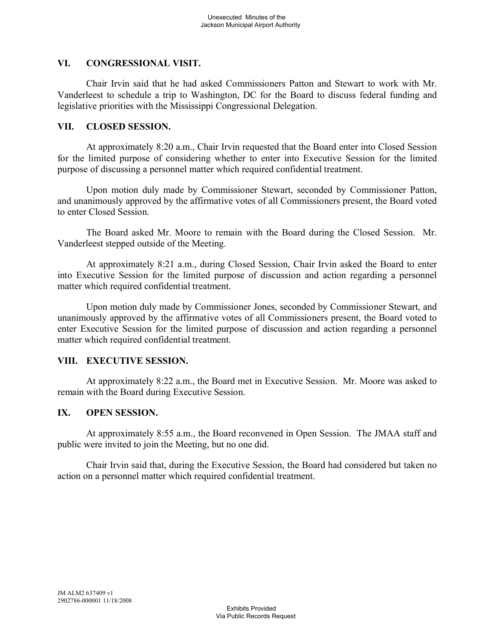## **VI. CONGRESSIONAL VISIT.**

Chair Irvin said that he had asked Commissioners Patton and Stewart to work with Mr. Vanderleest to schedule a trip to Washington, DC for the Board to discuss federal funding and legislative priorities with the Mississippi Congressional Delegation.

## **VII. CLOSED SESSION.**

At approximately 8:20 a.m., Chair Irvin requested that the Board enter into Closed Session for the limited purpose of considering whether to enter into Executive Session for the limited purpose of discussing a personnel matter which required confidential treatment.

Upon motion duly made by Commissioner Stewart, seconded by Commissioner Patton, and unanimously approved by the affirmative votes of all Commissioners present, the Board voted to enter Closed Session.

The Board asked Mr. Moore to remain with the Board during the Closed Session. Mr. Vanderleest stepped outside of the Meeting.

At approximately 8:21 a.m., during Closed Session, Chair Irvin asked the Board to enter into Executive Session for the limited purpose of discussion and action regarding a personnel matter which required confidential treatment.

Upon motion duly made by Commissioner Jones, seconded by Commissioner Stewart, and unanimously approved by the affirmative votes of all Commissioners present, the Board voted to enter Executive Session for the limited purpose of discussion and action regarding a personnel matter which required confidential treatment.

## **VIII. EXECUTIVE SESSION.**

At approximately 8:22 a.m., the Board met in Executive Session. Mr. Moore was asked to remain with the Board during Executive Session.

## **IX. OPEN SESSION.**

At approximately 8:55 a.m., the Board reconvened in Open Session. The JMAA staff and public were invited to join the Meeting, but no one did.

Chair Irvin said that, during the Executive Session, the Board had considered but taken no action on a personnel matter which required confidential treatment.